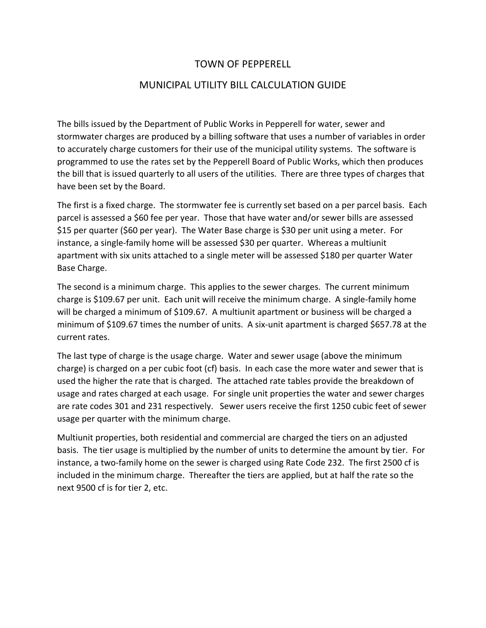## TOWN OF PEPPERELL

### MUNICIPAL UTILITY BILL CALCULATION GUIDE

The bills issued by the Department of Public Works in Pepperell for water, sewer and stormwater charges are produced by a billing software that uses a number of variables in order to accurately charge customers for their use of the municipal utility systems. The software is programmed to use the rates set by the Pepperell Board of Public Works, which then produces the bill that is issued quarterly to all users of the utilities. There are three types of charges that have been set by the Board.

The first is a fixed charge. The stormwater fee is currently set based on a per parcel basis. Each parcel is assessed a \$60 fee per year. Those that have water and/or sewer bills are assessed \$15 per quarter (\$60 per year). The Water Base charge is \$30 per unit using a meter. For instance, a single-family home will be assessed \$30 per quarter. Whereas a multiunit apartment with six units attached to a single meter will be assessed \$180 per quarter Water Base Charge.

The second is a minimum charge. This applies to the sewer charges. The current minimum charge is \$109.67 per unit. Each unit will receive the minimum charge. A single-family home will be charged a minimum of \$109.67. A multiunit apartment or business will be charged a minimum of \$109.67 times the number of units. A six-unit apartment is charged \$657.78 at the current rates.

The last type of charge is the usage charge. Water and sewer usage (above the minimum charge) is charged on a per cubic foot (cf) basis. In each case the more water and sewer that is used the higher the rate that is charged. The attached rate tables provide the breakdown of usage and rates charged at each usage. For single unit properties the water and sewer charges are rate codes 301 and 231 respectively. Sewer users receive the first 1250 cubic feet of sewer usage per quarter with the minimum charge.

Multiunit properties, both residential and commercial are charged the tiers on an adjusted basis. The tier usage is multiplied by the number of units to determine the amount by tier. For instance, a two-family home on the sewer is charged using Rate Code 232. The first 2500 cf is included in the minimum charge. Thereafter the tiers are applied, but at half the rate so the next 9500 cf is for tier 2, etc.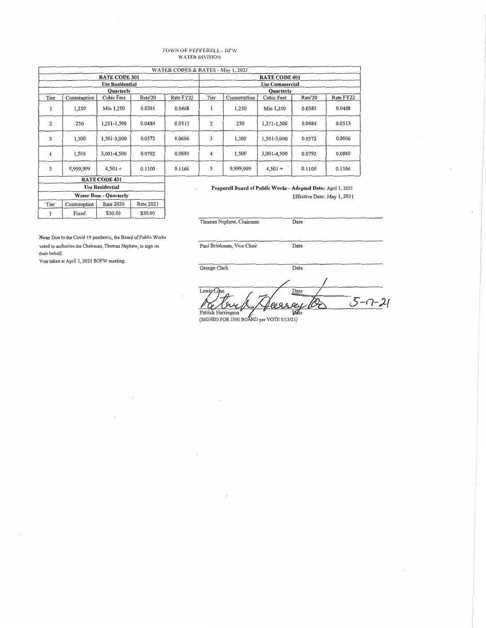# TOWN OF PEPPERELL - DPW<br>WATER DIVISION

| WATER CODES & RATES - May 1, 2021 |             |                  |         |           |                       |                                                               |             |         |           |  |
|-----------------------------------|-------------|------------------|---------|-----------|-----------------------|---------------------------------------------------------------|-------------|---------|-----------|--|
| <b>RATE CODE 301</b>              |             |                  |         |           |                       | <b>RATE CODE 401</b>                                          |             |         |           |  |
| <b>Use Residential</b>            |             |                  |         |           | <b>Use Commercial</b> |                                                               |             |         |           |  |
|                                   |             | <b>Ouarterly</b> |         |           | <b>Ouarterly</b>      |                                                               |             |         |           |  |
| Tier                              | Consumption | Cubic Feet       | Rate'20 | Rate FY22 | Tier                  | Consumption                                                   | Cubic Feet  | Rate'20 | Rate FY22 |  |
| $\mathbf{r}$                      | 1,250       | Min 1,250        | 0.0385  | 0.0408    |                       | 1,250                                                         | Min 1,250   | 0.0385  | 0.0408    |  |
| $\overline{2}$                    | 250         | 1,251-1,500      | 0.0484  | 0.0513    | 2                     | 250                                                           | 1,251-1,500 | 0.0484  | 0.0513    |  |
| 3                                 | 1,500       | 1,501-3,000      | 0.0572  | 0.0606    | 3                     | 1,500                                                         | 1,501-3,000 | 0.0572  | 0.0606    |  |
| 4                                 | 1,500       | 3,001-4,500      | 0.0792  | 0.0840    | 4                     | 1,500                                                         | 3,001-4,500 | 0.0792  | 0.0840    |  |
| 5                                 | 9,999,999   | $4,501+$         | 0.1100  | 0.1166    | 5                     | 9,999,999                                                     | $4,501+$    | 0.1100  | 0.1166    |  |
| <b>RATE CODE 431</b>              |             |                  |         |           |                       |                                                               |             |         |           |  |
| <b>Use Residential</b>            |             |                  |         |           |                       | Pepperell Board of Public Works - Adopted Date: April 1, 2021 |             |         |           |  |

Pepperell Board of Public Works - Adopted Date: April 1, 2021 Effective Date: May 1, 2021

Thomas Nephew, Chairman

Note: Due to the Covid 19 pandamic, the Board of Public Works voted to authorize the Chairman, Thomas Nephew, to sign on their behalf.

Rate 2020

\$30.00

Rate 2021

\$30.00

Water Base - Quarterly

Vote taken at April 1, 2021 BOPW meeting.

Consumption

Fixed

Tier

 $\bf{l}$ 

Paul Brinkman, Vice Chair

George Clark

 $L$ ewiş $\Omega$ Date  $5 - 12 - 21$ Patrick Harrington Ødt

Date

Date

Date

<sup>(</sup>SIGNED FOR THE BOARD per VOTE 5/13/21)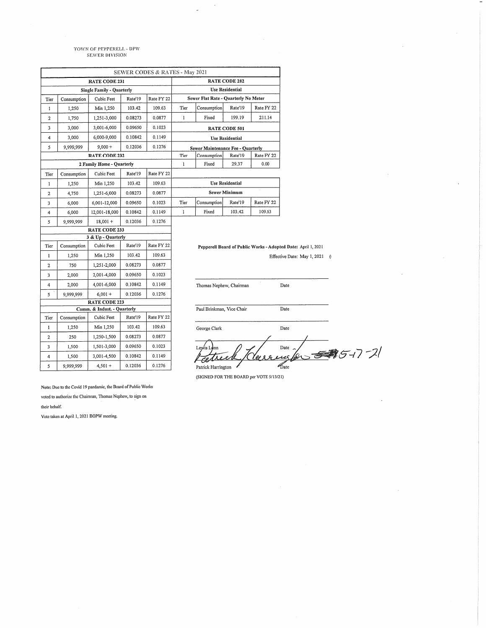## TOWN OF PEPPERELL - DPW<br>SEWER DIVISION

|                                  |             |                           |         | SEWER CODES & RATES - May 2021 |                                          |                    |         |                                        |
|----------------------------------|-------------|---------------------------|---------|--------------------------------|------------------------------------------|--------------------|---------|----------------------------------------|
| <b>RATE CODE 231</b>             |             |                           |         |                                | <b>RATE CODE 282</b>                     |                    |         |                                        |
| <b>Single Family - Quarterly</b> |             |                           |         |                                | <b>Use Residential</b>                   |                    |         |                                        |
| Tier                             | Consumption | Cubic Feet                | Rate'19 | Rate FY 22                     | Sewer Flat Rate - Quarterly No Meter     |                    |         |                                        |
| 1                                | 1,250       | Min 1,250                 | 103.42  | 109.63                         | Tier                                     | Consumption        | Rate'19 | Rate FY 22                             |
| $\mathbf{2}$                     | 1,750       | 1,251-3,000               | 0.08273 | 0.0877                         | 1                                        | Fixed              | 199.19  | 211.14                                 |
| 3                                | 3,000       | 3,001-6,000               | 0.09650 | 0.1023                         | <b>RATE CODE 501</b>                     |                    |         |                                        |
| 4                                | 3,000       | 6,000-9,000               | 0.10842 | 0.1149                         | <b>Use Residential</b>                   |                    |         |                                        |
| 5                                | 9,999,999   | $9,000 +$                 | 0.12036 | 0.1276                         | <b>Sewer Maintenance Fee - Quarterly</b> |                    |         |                                        |
| <b>RATE CODE 232</b>             |             |                           |         |                                | Tier                                     | Consumption        | Rate'19 | Rate FY 22                             |
|                                  |             | 2 Family Home - Quarterly |         |                                | $\mathbf{1}$<br>Fixed<br>29.37<br>0.00   |                    |         |                                        |
| Tier                             | Consumption | Cubic Feet                | Rate'19 | Rate FY 22                     |                                          |                    |         |                                        |
| $\mathbf{I}$                     | 1,250       | Min 1,250                 | 103.42  | 109.63                         | <b>Use Residential</b>                   |                    |         |                                        |
| $\overline{c}$                   | 4,750       | 1,251-6,000               | 0.08273 | 0.0877                         | Sewer Minimum                            |                    |         |                                        |
| 3                                | 6,000       | 6,001-12,000              | 0.09650 | 0.1023                         | Tier                                     | Consumption        | Rate'19 | Rate FY 22                             |
| 4                                | 6,000       | 12,001-18,000             | 0.10842 | 0.1149                         | $\mathbf{I}$                             | Fixed              | 103.42  | 109.63                                 |
| 5                                | 9,999,999   | $18,001 +$                | 0.12036 | 0.1276                         |                                          |                    |         |                                        |
|                                  |             | <b>RATE CODE 233</b>      |         |                                |                                          |                    |         |                                        |
|                                  |             | 3 & Up - Quarterly        |         |                                |                                          |                    |         |                                        |
| Tier                             | Consumption | Cubic Feet                | Rate'19 | Rate FY 22                     |                                          |                    |         | Pepperell Board of Public Works - Adop |
| $\mathbf{1}$                     | 1,250       | Min 1,250                 | 103.42  | 109.63                         |                                          |                    |         | Effec                                  |
| $\overline{2}$                   | 750         | 1,251-2,000               | 0.08273 | 0.0877                         |                                          |                    |         |                                        |
| 3                                | 2,000       | 2,001-4,000               | 0.09650 | 0.1023                         |                                          |                    |         |                                        |
| 4                                | 2,000       | 4,001-6,000               | 0.10842 | 0.1149                         | Thomas Nephew, Chairman                  |                    |         |                                        |
| 5                                | 9,999,999   | $6,001 +$                 | 0.12036 | 0.1276                         |                                          |                    |         |                                        |
|                                  |             | <b>RATE CODE 223</b>      |         |                                |                                          |                    |         |                                        |
| Comm. & Indust. - Quarterly      |             |                           |         |                                | Paul Brinkman, Vice Chair                |                    |         |                                        |
| Tier                             | Consumption | Cubic Feet                | Rate'19 | Rate FY 22                     |                                          |                    |         |                                        |
| 1                                | 1,250       | Min 1,250                 | 103.42  | 109.63                         |                                          | George Clark       |         |                                        |
| 2                                | 250         | 1,250-1,500               | 0.08273 | 0.0877                         |                                          |                    |         |                                        |
| 3                                | 1,500       | 1,501-3,000               | 0.09650 | 0.1023                         |                                          | Lewis Lunn         |         |                                        |
| 4                                | 1,500       | 3,001-4,500               | 0.10842 | 0.1149                         |                                          |                    |         | Herr                                   |
| 5                                | 9,999,999   | $4,501 +$                 | 0.12036 | 0.1276                         |                                          | Patrick Harrington |         |                                        |

 $\ddot{\phantom{a}}$ 

- Adopted Date: April 1, 2021

Effective Date: May 1, 2021  $\qquad$  (

∠  $\mathop{\text{Date}}$  $85 - 7 - 21$  $\mathcal{F}$  $\mathcal{A}$ exce  $\mathscr{L}_{\text{ate}}$ Patrick Harrington

Date

Date

 $_{\rm Date}$ 

(SIGNED FOR THE BOARD per VOTE 5/13/21)

Note: Due to the Covid 19 pandamic, the Board of Public Works

voted to authorize the Chairman, Thomas Nephew, to sign on their behalf.

Vote taken at April 1, 2021 BOPW meeting.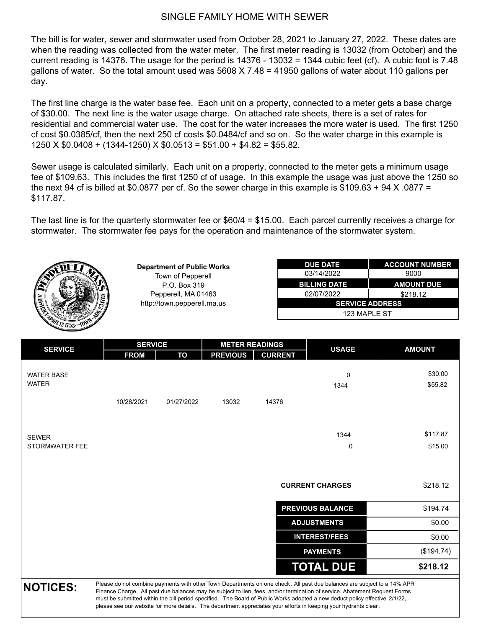### SINGLE FAMILY HOME WITH SEWER

The bill is for water, sewer and stormwater used from October 28, 2021 to January 27, 2022. These dates are when the reading was collected from the water meter. The first meter reading is 13032 (from October) and the current reading is 14376. The usage for the period is 14376 - 13032 = 1344 cubic feet (cf). A cubic foot is 7.48 gallons of water. So the total amount used was 5608 X 7.48 = 41950 gallons of water about 110 gallons per day.

The first line charge is the water base fee. Each unit on a property, connected to a meter gets a base charge of \$30.00. The next line is the water usage charge. On attached rate sheets, there is a set of rates for residential and commercial water use. The cost for the water increases the more water is used. The first 1250 cf cost \$0.0385/cf, then the next 250 cf costs \$0.0484/cf and so on. So the water charge in this example is  $1250 \times $0.0408 + (1344-1250) \times $0.0513 = $51.00 + $4.82 = $55.82$ .

Sewer usage is calculated similarly. Each unit on a property, connected to the meter gets a minimum usage fee of \$109.63. This includes the first 1250 cf of usage. In this example the usage was just above the 1250 so the next 94 cf is billed at \$0.0877 per cf. So the sewer charge in this example is  $$109.63 + 94 \times 0.0877 =$ \$117.87.

The last line is for the quarterly stormwater fee or \$60/4 = \$15.00. Each parcel currently receives a charge for stormwater. The stormwater fee pays for the operation and maintenance of the stormwater system.



| <b>SERVICE</b>                    |             | <b>SERVICE</b> |                 | <b>METER READINGS</b> | <b>USAGE</b>                                                                                                                                                                                                                                                                                                                                                                         | <b>AMOUNT</b> |
|-----------------------------------|-------------|----------------|-----------------|-----------------------|--------------------------------------------------------------------------------------------------------------------------------------------------------------------------------------------------------------------------------------------------------------------------------------------------------------------------------------------------------------------------------------|---------------|
|                                   | <b>FROM</b> | TO             | <b>PREVIOUS</b> | <b>CURRENT</b>        |                                                                                                                                                                                                                                                                                                                                                                                      |               |
| <b>WATER BASE</b><br><b>WATER</b> |             |                |                 |                       | $\mathbf 0$                                                                                                                                                                                                                                                                                                                                                                          | \$30.00       |
|                                   |             |                |                 |                       | 1344                                                                                                                                                                                                                                                                                                                                                                                 | \$55.82       |
|                                   | 10/28/2021  | 01/27/2022     | 13032           | 14376                 |                                                                                                                                                                                                                                                                                                                                                                                      |               |
|                                   |             |                |                 |                       |                                                                                                                                                                                                                                                                                                                                                                                      |               |
| <b>SEWER</b>                      |             |                |                 |                       | 1344                                                                                                                                                                                                                                                                                                                                                                                 | \$117.87      |
| STORMWATER FEE                    |             |                |                 |                       | 0                                                                                                                                                                                                                                                                                                                                                                                    | \$15.00       |
|                                   |             |                |                 |                       | <b>CURRENT CHARGES</b>                                                                                                                                                                                                                                                                                                                                                               | \$218.12      |
|                                   |             |                |                 |                       | <b>PREVIOUS BALANCE</b>                                                                                                                                                                                                                                                                                                                                                              | \$194.74      |
|                                   |             |                |                 |                       | <b>ADJUSTMENTS</b>                                                                                                                                                                                                                                                                                                                                                                   | \$0.00        |
|                                   |             |                |                 |                       | <b>INTEREST/FEES</b>                                                                                                                                                                                                                                                                                                                                                                 | \$0.00        |
|                                   |             |                |                 |                       | <b>PAYMENTS</b>                                                                                                                                                                                                                                                                                                                                                                      | (\$194.74)    |
|                                   |             |                |                 |                       | <b>TOTAL DUE</b>                                                                                                                                                                                                                                                                                                                                                                     | \$218.12      |
| <b>NOTICES:</b>                   |             |                |                 |                       | Please do not combine payments with other Town Departments on one check. All past due balances are subject to a 14% APR<br>Finance Charge. All past due balances may be subject to lien, fees, and/or termination of service. Abatement Request Forms<br>must be submitted within the bill period specified. The Board of Public Works adopted a new deduct policy effective 2/1/22, |               |

please see our website for more details. The department appreciates your efforts in keeping your hydrants clear .